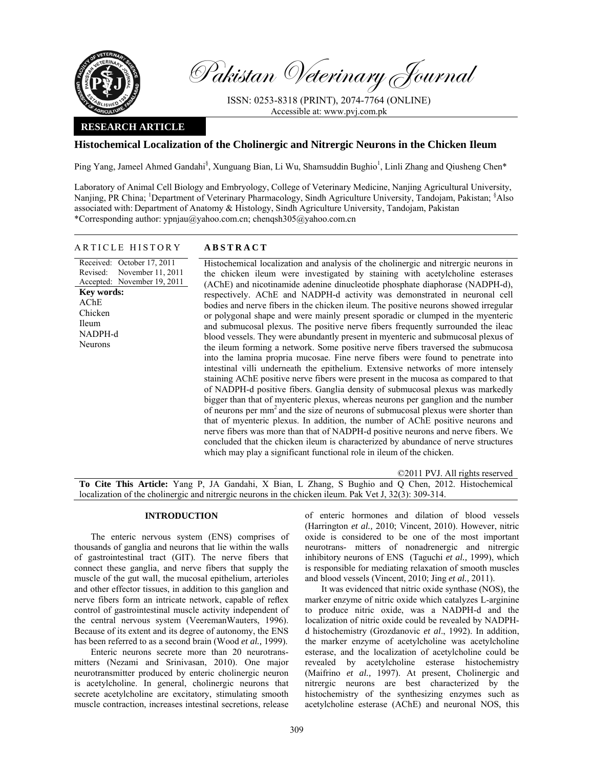

Pakistan Veterinary Journal

ISSN: 0253-8318 (PRINT), 2074-7764 (ONLINE) Accessible at: www.pvj.com.pk

# **RESEARCH ARTICLE**

# **Histochemical Localization of the Cholinergic and Nitrergic Neurons in the Chicken Ileum**

Ping Yang, Jameel Ahmed Gandahi<sup>§</sup>, Xunguang Bian, Li Wu, Shamsuddin Bughio<sup>1</sup>, Linli Zhang and Qiusheng Chen\*

Laboratory of Animal Cell Biology and Embryology, College of Veterinary Medicine, Nanjing Agricultural University, Nanjing, PR China; <sup>1</sup>Department of Veterinary Pharmacology, Sindh Agriculture University, Tandojam, Pakistan; <sup>§</sup>Also associated with: Department of Anatomy & Histology, Sindh Agriculture University, Tandojam, Pakistan \*Corresponding author: ypnjau@yahoo.com.cn; chenqsh305@yahoo.com.cn

## ARTICLE HISTORY **ABSTRACT**

Received: October 17, 2011

Revised:

**Key words:**  AChE Chicken Ileum NADPH-d Neurons

### Accepted: November 19, 2011 November 11, 2011 Histochemical localization and analysis of the cholinergic and nitrergic neurons in the chicken ileum were investigated by staining with acetylcholine esterases (AChE) and nicotinamide adenine dinucleotide phosphate diaphorase (NADPH-d), respectively. AChE and NADPH-d activity was demonstrated in neuronal cell bodies and nerve fibers in the chicken ileum. The positive neurons showed irregular or polygonal shape and were mainly present sporadic or clumped in the myenteric and submucosal plexus. The positive nerve fibers frequently surrounded the ileac blood vessels. They were abundantly present in myenteric and submucosal plexus of the ileum forming a network. Some positive nerve fibers traversed the submucosa into the lamina propria mucosae. Fine nerve fibers were found to penetrate into intestinal villi underneath the epithelium. Extensive networks of more intensely staining AChE positive nerve fibers were present in the mucosa as compared to that of NADPH-d positive fibers. Ganglia density of submucosal plexus was markedly bigger than that of myenteric plexus, whereas neurons per ganglion and the number of neurons per mm<sup>2</sup> and the size of neurons of submucosal plexus were shorter than that of myenteric plexus. In addition, the number of AChE positive neurons and nerve fibers was more than that of NADPH-d positive neurons and nerve fibers. We concluded that the chicken ileum is characterized by abundance of nerve structures which may play a significant functional role in ileum of the chicken.

©2011 PVJ. All rights reserved **To Cite This Article:** Yang P, JA Gandahi, X Bian, L Zhang, S Bughio and Q Chen, 2012. Histochemical localization of the cholinergic and nitrergic neurons in the chicken ileum. Pak Vet J, 32(3): 309-314.

### **INTRODUCTION**

The enteric nervous system (ENS) comprises of thousands of ganglia and neurons that lie within the walls of gastrointestinal tract (GIT). The nerve fibers that connect these ganglia, and nerve fibers that supply the muscle of the gut wall, the mucosal epithelium, arterioles and other effector tissues, in addition to this ganglion and nerve fibers form an intricate network, capable of reflex control of gastrointestinal muscle activity independent of the central nervous system (VeeremanWauters, 1996). Because of its extent and its degree of autonomy, the ENS has been referred to as a second brain (Wood *et al.,* 1999).

Enteric neurons secrete more than 20 neurotransmitters (Nezami and Srinivasan, 2010). One major neurotransmitter produced by enteric cholinergic neuron is acetylcholine. In general, cholinergic neurons that secrete acetylcholine are excitatory, stimulating smooth muscle contraction, increases intestinal secretions, release of enteric hormones and dilation of blood vessels (Harrington *et al.,* 2010; Vincent, 2010). However, nitric oxide is considered to be one of the most important neurotrans- mitters of nonadrenergic and nitrergic inhibitory neurons of ENS (Taguchi *et al.,* 1999), which is responsible for mediating relaxation of smooth muscles and blood vessels (Vincent, 2010; Jing *et al.,* 2011).

It was evidenced that nitric oxide synthase (NOS), the marker enzyme of nitric oxide which catalyzes L-arginine to produce nitric oxide, was a NADPH-d and the localization of nitric oxide could be revealed by NADPHd histochemistry (Grozdanovic *et al*., 1992). In addition, the marker enzyme of acetylcholine was acetylcholine esterase, and the localization of acetylcholine could be revealed by acetylcholine esterase histochemistry (Maifrino *et al.,* 1997). At present, Cholinergic and nitrergic neurons are best characterized by the histochemistry of the synthesizing enzymes such as acetylcholine esterase (AChE) and neuronal NOS, this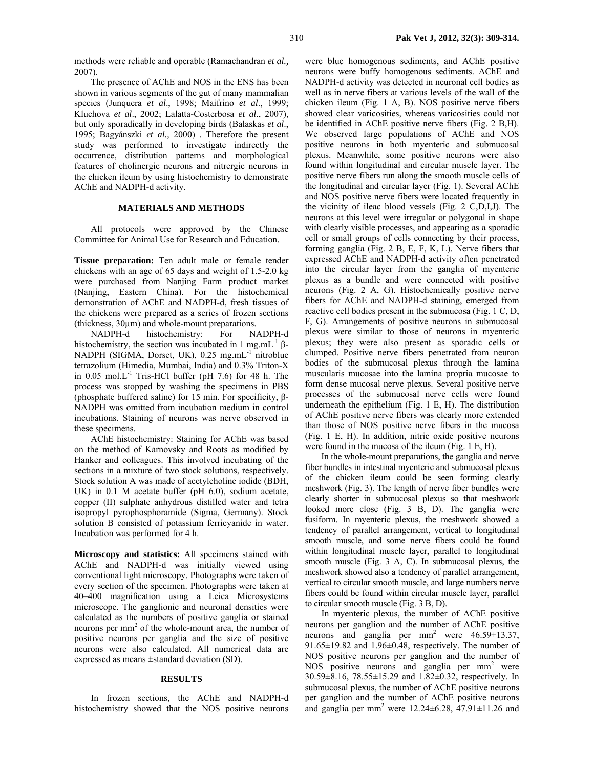methods were reliable and operable (Ramachandran *et al.,* 2007).

The presence of AChE and NOS in the ENS has been shown in various segments of the gut of many mammalian species (Junquera *et al*., 1998; Maifrino *et al*., 1999; Kluchova *et al*., 2002; Lalatta-Costerbosa *et al*., 2007), but only sporadically in developing birds (Balaskas *et al*., 1995; Bagyánszki *et al.,* 2000) . Therefore the present study was performed to investigate indirectly the occurrence, distribution patterns and morphological features of cholinergic neurons and nitrergic neurons in the chicken ileum by using histochemistry to demonstrate AChE and NADPH-d activity.

## **MATERIALS AND METHODS**

All protocols were approved by the Chinese Committee for Animal Use for Research and Education.

**Tissue preparation:** Ten adult male or female tender chickens with an age of 65 days and weight of 1.5-2.0 kg were purchased from Nanjing Farm product market (Nanjing, Eastern China). For the histochemical demonstration of AChE and NADPH-d, fresh tissues of the chickens were prepared as a series of frozen sections (thickness, 30µm) and whole-mount preparations.

NADPH-d histochemistry: For NADPH-d histochemistry, the section was incubated in 1 mg.mL $^{-1}$  β-NADPH (SIGMA, Dorset, UK), 0.25 mg.mL<sup>-1</sup> nitroblue tetrazolium (Himedia, Mumbai, India) and 0.3% Triton-X in  $0.05$  mol.L<sup>-1</sup> Tris-HCl buffer (pH 7.6) for 48 h. The process was stopped by washing the specimens in PBS (phosphate buffered saline) for 15 min. For specificity, β-NADPH was omitted from incubation medium in control incubations. Staining of neurons was nerve observed in these specimens.

AChE histochemistry: Staining for AChE was based on the method of Karnovsky and Roots as modified by Hanker and colleagues. This involved incubating of the sections in a mixture of two stock solutions, respectively. Stock solution A was made of acetylcholine iodide (BDH, UK) in 0.1 M acetate buffer (pH 6.0), sodium acetate, copper (II) sulphate anhydrous distilled water and tetra isopropyl pyrophosphoramide (Sigma, Germany). Stock solution B consisted of potassium ferricyanide in water. Incubation was performed for 4 h.

**Microscopy and statistics:** All specimens stained with AChE and NADPH-d was initially viewed using conventional light microscopy. Photographs were taken of every section of the specimen. Photographs were taken at 40–400 magnification using a Leica Microsystems microscope. The ganglionic and neuronal densities were calculated as the numbers of positive ganglia or stained neurons per mm<sup>2</sup> of the whole-mount area, the number of positive neurons per ganglia and the size of positive neurons were also calculated. All numerical data are expressed as means ±standard deviation (SD).

### **RESULTS**

In frozen sections, the AChE and NADPH-d histochemistry showed that the NOS positive neurons were blue homogenous sediments, and AChE positive neurons were buffy homogenous sediments. AChE and NADPH-d activity was detected in neuronal cell bodies as well as in nerve fibers at various levels of the wall of the chicken ileum (Fig. 1 A, B). NOS positive nerve fibers showed clear varicosities, whereas varicosities could not be identified in AChE positive nerve fibers (Fig. 2 B,H). We observed large populations of AChE and NOS positive neurons in both myenteric and submucosal plexus. Meanwhile, some positive neurons were also found within longitudinal and circular muscle layer. The positive nerve fibers run along the smooth muscle cells of the longitudinal and circular layer (Fig. 1). Several AChE and NOS positive nerve fibers were located frequently in the vicinity of ileac blood vessels (Fig. 2 C,D,I,J). The neurons at this level were irregular or polygonal in shape with clearly visible processes, and appearing as a sporadic cell or small groups of cells connecting by their process, forming ganglia (Fig. 2 B, E, F, K, L). Nerve fibers that expressed AChE and NADPH-d activity often penetrated into the circular layer from the ganglia of myenteric plexus as a bundle and were connected with positive neurons (Fig. 2 A, G). Histochemically positive nerve fibers for AChE and NADPH-d staining, emerged from reactive cell bodies present in the submucosa (Fig. 1 C, D, F, G). Arrangements of positive neurons in submucosal plexus were similar to those of neurons in myenteric plexus; they were also present as sporadic cells or clumped. Positive nerve fibers penetrated from neuron bodies of the submucosal plexus through the lamina muscularis mucosae into the lamina propria mucosae to form dense mucosal nerve plexus. Several positive nerve processes of the submucosal nerve cells were found underneath the epithelium (Fig. 1 E, H). The distribution of AChE positive nerve fibers was clearly more extended than those of NOS positive nerve fibers in the mucosa (Fig. 1 E, H). In addition, nitric oxide positive neurons were found in the mucosa of the ileum (Fig. 1 E, H).

In the whole-mount preparations, the ganglia and nerve fiber bundles in intestinal myenteric and submucosal plexus of the chicken ileum could be seen forming clearly meshwork (Fig. 3). The length of nerve fiber bundles were clearly shorter in submucosal plexus so that meshwork looked more close (Fig. 3 B, D). The ganglia were fusiform. In myenteric plexus, the meshwork showed a tendency of parallel arrangement, vertical to longitudinal smooth muscle, and some nerve fibers could be found within longitudinal muscle layer, parallel to longitudinal smooth muscle (Fig. 3 A, C). In submucosal plexus, the meshwork showed also a tendency of parallel arrangement, vertical to circular smooth muscle, and large numbers nerve fibers could be found within circular muscle layer, parallel to circular smooth muscle (Fig. 3 B, D).

In myenteric plexus, the number of AChE positive neurons per ganglion and the number of AChE positive neurons and ganglia per  $mm^2$  were  $46.59 \pm 13.37$ , 91.65±19.82 and 1.96±0.48, respectively. The number of NOS positive neurons per ganglion and the number of NOS positive neurons and ganglia per mm<sup>2</sup> were 30.59±8.16, 78.55±15.29 and 1.82±0.32, respectively. In submucosal plexus, the number of AChE positive neurons per ganglion and the number of AChE positive neurons and ganglia per mm<sup>2</sup> were  $12.24 \pm 6.28$ ,  $47.91 \pm 11.26$  and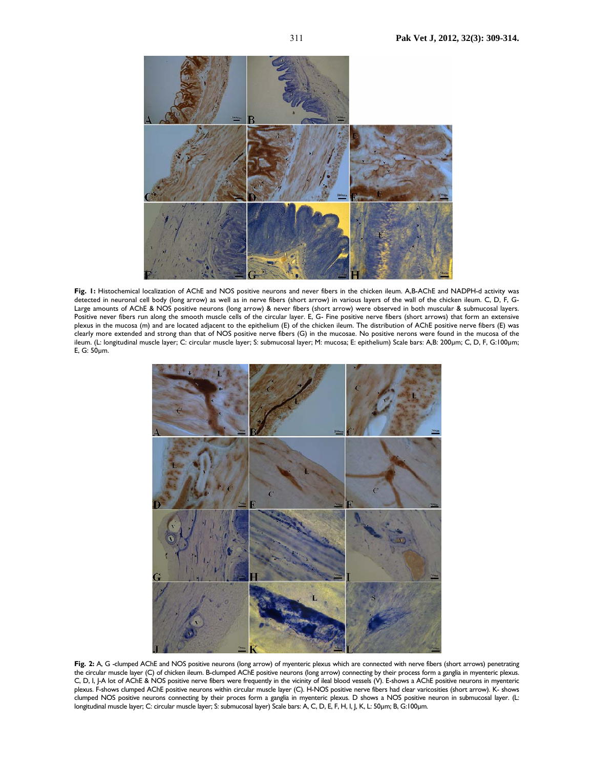

**Fig. 1:** Histochemical localization of AChE and NOS positive neurons and never fibers in the chicken ileum. A,B-AChE and NADPH-d activity was detected in neuronal cell body (long arrow) as well as in nerve fibers (short arrow) in various layers of the wall of the chicken ileum. C, D, F, G-Large amounts of AChE & NOS positive neurons (long arrow) & never fibers (short arrow) were observed in both muscular & submucosal layers. Positive never fibers run along the smooth muscle cells of the circular layer. E, G- Fine positive nerve fibers (short arrows) that form an extensive plexus in the mucosa (m) and are located adjacent to the epithelium (E) of the chicken ileum. The distribution of AChE positive nerve fibers (E) was clearly more extended and strong than that of NOS positive nerve fibers (G) in the mucosae. No positive nerons were found in the mucosa of the ileum. (L: longitudinal muscle layer; C: circular muscle layer; S: submucosal layer; M: mucosa; E: epithelium) Scale bars: A,B: 200µm; C, D, F, G:100µm; E, G: 50µm.



Fig. 2: A, G -clumped AChE and NOS positive neurons (long arrow) of myenteric plexus which are connected with nerve fibers (short arrows) penetrating the circular muscle layer (C) of chicken ileum. B-clumped AChE positive neurons (long arrow) connecting by their process form a ganglia in myenteric plexus. C, D, I, J-A lot of AChE & NOS positive nerve fibers were frequently in the vicinity of ileal blood vessels (V). E-shows a AChE positive neurons in myenteric plexus. F-shows clumped AChE positive neurons within circular muscle layer (C). H-NOS positive nerve fibers had clear varicosities (short arrow). K- shows clumped NOS positive neurons connecting by their proces form a ganglia in myenteric plexus. D shows a NOS positive neuron in submucosal layer. (L: longitudinal muscle layer; C: circular muscle layer; S: submucosal layer) Scale bars: A, C, D, E, F, H, I, J, K, L: 50µm; B, G:100µm.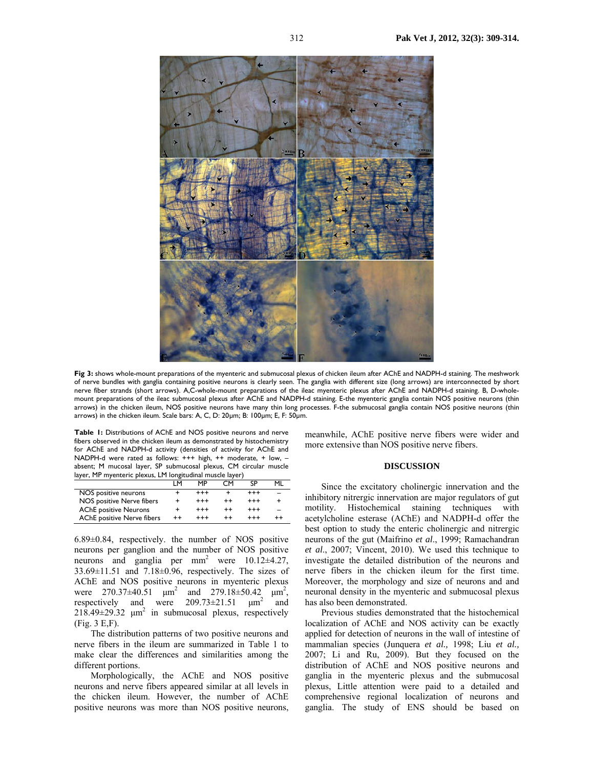

**Fig 3:** shows whole-mount preparations of the myenteric and submucosal plexus of chicken ileum after AChE and NADPH-d staining. The meshwork of nerve bundles with ganglia containing positive neurons is clearly seen. The ganglia with different size (long arrows) are interconnected by short nerve fiber strands (short arrows). A,C-whole-mount preparations of the ileac myenteric plexus after AChE and NADPH-d staining. B, D-wholemount preparations of the ileac submucosal plexus after AChE and NADPH-d staining. E-the myenteric ganglia contain NOS positive neurons (thin arrows) in the chicken ileum, NOS positive neurons have many thin long processes. F-the submucosal ganglia contain NOS positive neurons (thin arrows) in the chicken ileum. Scale bars: A, C, D: 20µm; B: 100µm; E, F: 50µm.

**Table 1:** Distributions of AChE and NOS positive neurons and nerve fibers observed in the chicken ileum as demonstrated by histochemistry for AChE and NADPH-d activity (densities of activity for AChE and NADPH-d were rated as follows: +++ high, ++ moderate, + low, – absent; M mucosal layer, SP submucosal plexus, CM circular muscle layer, MP myenteric plexus, LM longitudinal muscle layer)

|                              | ıм              | MP       | СΜ | SΡ       | мı |
|------------------------------|-----------------|----------|----|----------|----|
| NOS positive neurons         |                 | $***$    |    | $^{+++}$ |    |
| NOS positive Nerve fibers    |                 | $***$    |    | $^{+++}$ |    |
| <b>AChE</b> positive Neurons |                 | $^{+++}$ |    | $^{+++}$ |    |
| AChE positive Nerve fibers   | $^{\mathrm{+}}$ | $***$    |    | $^{+++}$ |    |

6.89±0.84, respectively. the number of NOS positive neurons per ganglion and the number of NOS positive neurons and ganglia per  $mm^2$  were  $10.12\pm4.27$ ,  $33.69 \pm 11.51$  and  $7.18 \pm 0.96$ , respectively. The sizes of AChE and NOS positive neurons in myenteric plexus were  $270.37 \pm 40.51$   $\mu$ m<sup>2</sup> and  $279.18 \pm 50.42$   $\mu$ m<sup>2</sup>, respectively and were  $209.73 \pm 21.51$   $\mu$ m<sup>2</sup> and  $218.49 \pm 29.32$   $\mu$ m<sup>2</sup> in submucosal plexus, respectively (Fig. 3 E,F).

The distribution patterns of two positive neurons and nerve fibers in the ileum are summarized in Table 1 to make clear the differences and similarities among the different portions.

Morphologically, the AChE and NOS positive neurons and nerve fibers appeared similar at all levels in the chicken ileum. However, the number of AChE positive neurons was more than NOS positive neurons,

meanwhile, AChE positive nerve fibers were wider and more extensive than NOS positive nerve fibers.

#### **DISCUSSION**

Since the excitatory cholinergic innervation and the inhibitory nitrergic innervation are major regulators of gut motility. Histochemical staining techniques with acetylcholine esterase (AChE) and NADPH-d offer the best option to study the enteric cholinergic and nitrergic neurons of the gut (Maifrino *et al*., 1999; Ramachandran *et al*., 2007; Vincent, 2010). We used this technique to investigate the detailed distribution of the neurons and nerve fibers in the chicken ileum for the first time. Moreover, the morphology and size of neurons and and neuronal density in the myenteric and submucosal plexus has also been demonstrated.

Previous studies demonstrated that the histochemical localization of AChE and NOS activity can be exactly applied for detection of neurons in the wall of intestine of mammalian species (Junquera *et al.,* 1998; Liu *et al.,* 2007; Li and Ru, 2009). But they focused on the distribution of AChE and NOS positive neurons and ganglia in the myenteric plexus and the submucosal plexus, Little attention were paid to a detailed and comprehensive regional localization of neurons and ganglia. The study of ENS should be based on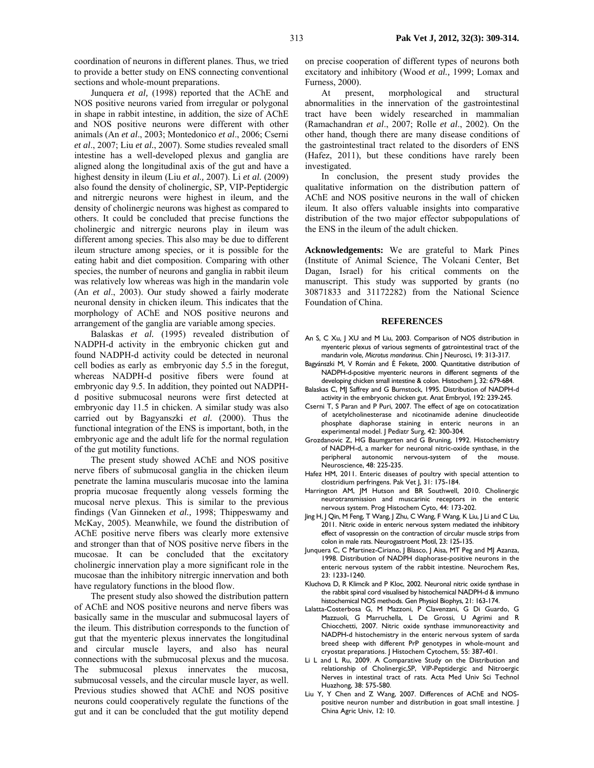coordination of neurons in different planes. Thus, we tried to provide a better study on ENS connecting conventional sections and whole-mount preparations.

Junquera *et al,* (1998) reported that the AChE and NOS positive neurons varied from irregular or polygonal in shape in rabbit intestine, in addition, the size of AChE and NOS positive neurons were different with other animals (An *et al*., 2003; Montedonico *et al*., 2006; Cserni *et al*., 2007; Liu *et al.*, 2007). Some studies revealed small intestine has a well-developed plexus and ganglia are aligned along the longitudinal axis of the gut and have a highest density in ileum (Liu *et al.,* 2007). Li *et al.* (2009) also found the density of cholinergic, SP, VIP-Peptidergic and nitrergic neurons were highest in ileum, and the density of cholinergic neurons was highest as compared to others. It could be concluded that precise functions the cholinergic and nitrergic neurons play in ileum was different among species. This also may be due to different ileum structure among species, or it is possible for the eating habit and diet composition. Comparing with other species, the number of neurons and ganglia in rabbit ileum was relatively low whereas was high in the mandarin vole (An *et al*., 2003). Our study showed a fairly moderate neuronal density in chicken ileum. This indicates that the morphology of AChE and NOS positive neurons and arrangement of the ganglia are variable among species.

Balaskas *et al.* (1995) revealed distribution of NADPH-d activity in the embryonic chicken gut and found NADPH-d activity could be detected in neuronal cell bodies as early as embryonic day 5.5 in the foregut, whereas NADPH-d positive fibers were found at embryonic day 9.5. In addition, they pointed out NADPHd positive submucosal neurons were first detected at embryonic day 11.5 in chicken. A similar study was also carried out by Bagyanszki *et al.* (2000). Thus the functional integration of the ENS is important, both, in the embryonic age and the adult life for the normal regulation of the gut motility functions.

The present study showed AChE and NOS positive nerve fibers of submucosal ganglia in the chicken ileum penetrate the lamina muscularis mucosae into the lamina propria mucosae frequently along vessels forming the mucosal nerve plexus. This is similar to the previous findings (Van Ginneken *et al.,* 1998; Thippeswamy and McKay, 2005). Meanwhile, we found the distribution of AChE positive nerve fibers was clearly more extensive and stronger than that of NOS positive nerve fibers in the mucosae. It can be concluded that the excitatory cholinergic innervation play a more significant role in the mucosae than the inhibitory nitrergic innervation and both have regulatory functions in the blood flow.

The present study also showed the distribution pattern of AChE and NOS positive neurons and nerve fibers was basically same in the muscular and submucosal layers of the ileum. This distribution corresponds to the function of gut that the myenteric plexus innervates the longitudinal and circular muscle layers, and also has neural connections with the submucosal plexus and the mucosa. The submucosal plexus innervates the mucosa, submucosal vessels, and the circular muscle layer, as well. Previous studies showed that AChE and NOS positive neurons could cooperatively regulate the functions of the gut and it can be concluded that the gut motility depend

on precise cooperation of different types of neurons both excitatory and inhibitory (Wood *et al.,* 1999; Lomax and Furness, 2000).

At present, morphological and structural abnormalities in the innervation of the gastrointestinal tract have been widely researched in mammalian (Ramachandran *et al*., 2007; Rolle *et al*., 2002). On the other hand, though there are many disease conditions of the gastrointestinal tract related to the disorders of ENS (Hafez, 2011), but these conditions have rarely been investigated.

In conclusion, the present study provides the qualitative information on the distribution pattern of AChE and NOS positive neurons in the wall of chicken ileum. It also offers valuable insights into comparative distribution of the two major effector subpopulations of the ENS in the ileum of the adult chicken.

**Acknowledgements:** We are grateful to Mark Pines (Institute of Animal Science, The Volcani Center, Bet Dagan, Israel) for his critical comments on the manuscript. This study was supported by grants (no 30871833 and 31172282) from the National Science Foundation of China.

#### **REFERENCES**

- An S, C Xu, J XU and M Liu, 2003. Comparison of NOS distribution in myenteric plexus of various segments of gatrointestinal tract of the mandarin vole, *Microtus mandarinus*. Chin J Neurosci, 19: 313-317.
- Bagyánszki M, V Román and É Fekete, 2000. Quantitative distribution of NADPH-d-positive myenteric neurons in different segments of the developing chicken small intestine & colon. Histochem J, 32: 679-684.
- Balaskas C, MJ Saffrey and G Burnstock, 1995. Distribution of NADPH-d activity in the embryonic chicken gut. Anat Embryol, 192: 239-245.
- Cserni T, S Paran and P Puri, 2007. The effect of age on cotocatization of acetylcholinesterase and nicotinamide adenine dinucleotide phosphate diaphorase staining in enteric neurons in an experimental model. J Pediatr Surg, 42: 300-304.
- Grozdanovic Z, HG Baumgarten and G Bruning, 1992. Histochemistry of NADPH-d, a marker for neuronal nitric-oxide synthase, in the peripheral autonomic nervous-system of the mouse. Neuroscience, 48: 225-235.
- Hafez HM, 2011. Enteric diseases of poultry with special attention to clostridium perfringens. Pak Vet J, 31: 175-184.
- Harrington AM, JM Hutson and BR Southwell, 2010. Cholinergic neurotransmission and muscarinic receptors in the enteric nervous system. Prog Histochem Cyto, 44: 173-202.
- Jing H, J Qin, M Feng, T Wang, J Zhu, C Wang, F Wang, K Liu, J Li and C Liu, 2011. Nitric oxide in enteric nervous system mediated the inhibitory effect of vasopressin on the contraction of circular muscle strips from colon in male rats. Neurogastroent Motil, 23: 125-135.
- Junquera C, C Martinez-Ciriano, J Blasco, J Aisa, MT Peg and MJ Azanza, 1998. Distribution of NADPH diaphorase-positive neurons in the enteric nervous system of the rabbit intestine. Neurochem Res, 23: 1233-1240.
- Kluchova D, R Klimcik and P Kloc, 2002. Neuronal nitric oxide synthase in the rabbit spinal cord visualised by histochemical NADPH-d & immuno histochemical NOS methods. Gen Physiol Biophys, 21: 163-174.
- Lalatta-Costerbosa G, M Mazzoni, P Clavenzani, G Di Guardo, G Mazzuoli, G Marruchella, L De Grossi, U Agrimi and R Chiocchetti, 2007. Nitric oxide synthase immunoreactivity and NADPH-d histochemistry in the enteric nervous system of sarda breed sheep with different PrP genotypes in whole-mount and cryostat preparations. J Histochem Cytochem, 55: 387-401.
- Li L and L Ru, 2009. A Comparative Study on the Distribution and relationship of Cholinergic,SP, VIP-Peptidergic and Nitroergic Nerves in intestinal tract of rats. Acta Med Univ Sci Technol Huazhong, 38: 575-580.
- Liu Y, Y Chen and Z Wang, 2007. Differences of AChE and NOSpositive neuron number and distribution in goat small intestine. J China Agric Univ, 12: 10.